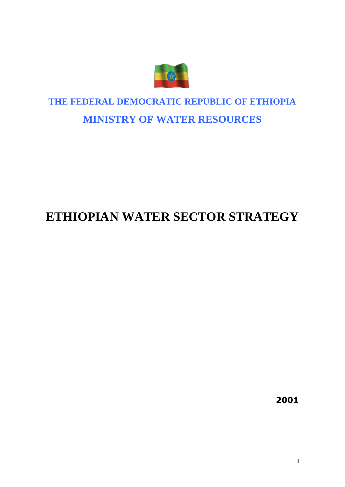

# **THE FEDERAL DEMOCRATIC REPUBLIC OF ETHIOPIA MINISTRY OF WATER RESOURCES**

# **ETHIOPIAN WATER SECTOR STRATEGY**

**2001**

**i**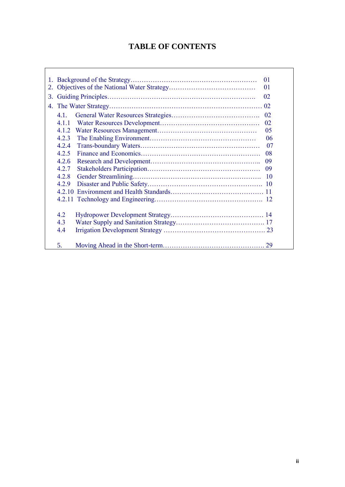# **TABLE OF CONTENTS**

 $\Gamma$ 

|    | 01                       |    |          |  |  |  |
|----|--------------------------|----|----------|--|--|--|
|    |                          | 01 |          |  |  |  |
| 3. |                          | 02 |          |  |  |  |
| 4. | 02                       |    |          |  |  |  |
|    | $4.1$ .                  |    |          |  |  |  |
|    | 4 1 1                    |    | 02<br>02 |  |  |  |
|    | 4.1.2                    |    | 05       |  |  |  |
|    | 4.2.3                    |    |          |  |  |  |
|    | 4.2.4                    |    | 06<br>07 |  |  |  |
|    | 4.2.5                    |    | 08       |  |  |  |
|    | 4.2.6                    |    | 09       |  |  |  |
|    | 4.2.7                    |    | 09       |  |  |  |
|    | 4.2.8<br>4.2.9<br>4 2 10 |    |          |  |  |  |
|    |                          |    |          |  |  |  |
|    |                          |    |          |  |  |  |
|    |                          |    |          |  |  |  |
|    | 4.2                      |    |          |  |  |  |
|    | 4.3                      |    |          |  |  |  |
|    | 4.4                      |    |          |  |  |  |
|    | 5.                       |    |          |  |  |  |
|    |                          |    |          |  |  |  |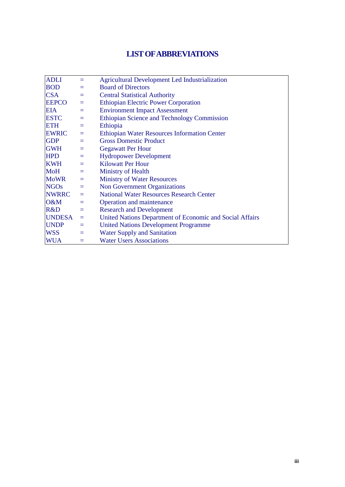# **LIST OF ABBREVIATIONS**

| <b>ADLI</b>   | $=$      | <b>Agricultural Development Led Industrialization</b>    |
|---------------|----------|----------------------------------------------------------|
| <b>BOD</b>    | $=$      | <b>Board of Directors</b>                                |
| <b>CSA</b>    | $=$      | <b>Central Statistical Authority</b>                     |
| <b>EEPCO</b>  | $=$      | <b>Ethiopian Electric Power Corporation</b>              |
| <b>EIA</b>    | $=$      | <b>Environment Impact Assessment</b>                     |
| <b>ESTC</b>   | $=$      | Ethiopian Science and Technology Commission              |
| <b>ETH</b>    | $=$      | Ethiopia                                                 |
| <b>EWRIC</b>  | $\equiv$ | <b>Ethiopian Water Resources Information Center</b>      |
| <b>GDP</b>    | $=$      | <b>Gross Domestic Product</b>                            |
| <b>GWH</b>    | $\equiv$ | <b>Gegawatt Per Hour</b>                                 |
| <b>HPD</b>    | $\equiv$ | <b>Hydropower Development</b>                            |
| <b>KWH</b>    | $=$      | <b>Kilowatt Per Hour</b>                                 |
| <b>MoH</b>    | $=$      | Ministry of Health                                       |
| <b>MoWR</b>   | $\equiv$ | <b>Ministry of Water Resources</b>                       |
| <b>NGOs</b>   | $\equiv$ | <b>Non Government Organizations</b>                      |
| <b>NWRRC</b>  | $=$      | <b>National Water Resources Research Center</b>          |
| O&M           | $=$      | Operation and maintenance                                |
| R&D           | $=$      | <b>Research and Development</b>                          |
| <b>UNDESA</b> | $\equiv$ | United Nations Department of Economic and Social Affairs |
| <b>UNDP</b>   | $\equiv$ | <b>United Nations Development Programme</b>              |
| <b>WSS</b>    | $\equiv$ | <b>Water Supply and Sanitation</b>                       |
| <b>WUA</b>    | $=$      | <b>Water Users Associations</b>                          |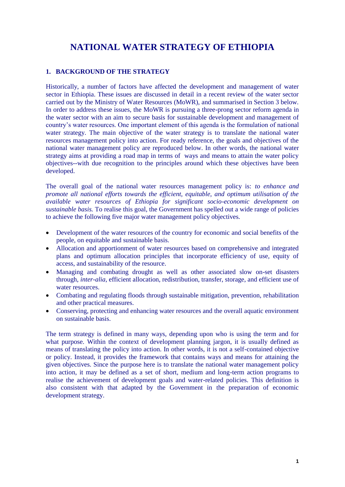# **NATIONAL WATER STRATEGY OF ETHIOPIA**

# **1. BACKGROUND OF THE STRATEGY**

Historically, a number of factors have affected the development and management of water sector in Ethiopia. These issues are discussed in detail in a recent review of the water sector carried out by the Ministry of Water Resources (MoWR), and summarised in Section 3 below. In order to address these issues, the MoWR is pursuing a three-prong sector reform agenda in the water sector with an aim to secure basis for sustainable development and management of country's water resources. One important element of this agenda is the formulation of national water strategy. The main objective of the water strategy is to translate the national water resources management policy into action. For ready reference, the goals and objectives of the national water management policy are reproduced below. In other words, the national water strategy aims at providing a road map in terms of ways and means to attain the water policy objectives--with due recognition to the principles around which these objectives have been developed.

The overall goal of the national water resources management policy is: *to enhance and promote all national efforts towards the efficient, equitable, and optimum utilisation of the available water resources of Ethiopia for significant socio-economic development on sustainable basis.* To realise this goal, the Government has spelled out a wide range of policies to achieve the following five major water management policy objectives.

- Development of the water resources of the country for economic and social benefits of the people, on equitable and sustainable basis.
- Allocation and apportionment of water resources based on comprehensive and integrated plans and optimum allocation principles that incorporate efficiency of use, equity of access, and sustainability of the resource.
- Managing and combating drought as well as other associated slow on-set disasters through, *inter-alia*, efficient allocation, redistribution, transfer, storage, and efficient use of water resources.
- Combating and regulating floods through sustainable mitigation, prevention, rehabilitation and other practical measures.
- Conserving, protecting and enhancing water resources and the overall aquatic environment on sustainable basis.

The term strategy is defined in many ways, depending upon who is using the term and for what purpose. Within the context of development planning jargon, it is usually defined as means of translating the policy into action. In other words, it is not a self-contained objective or policy. Instead, it provides the framework that contains ways and means for attaining the given objectives. Since the purpose here is to translate the national water management policy into action, it may be defined as a set of short, medium and long-term action programs to realise the achievement of development goals and water-related policies. This definition is also consistent with that adapted by the Government in the preparation of economic development strategy.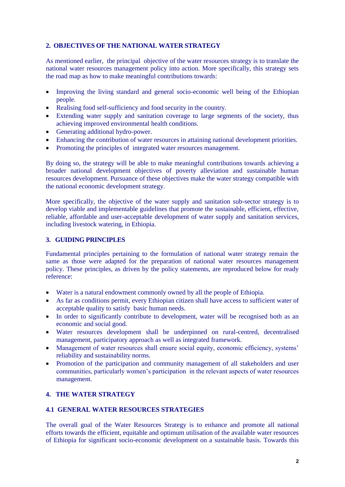# **2. OBJECTIVES OF THE NATIONAL WATER STRATEGY**

As mentioned earlier, the principal objective of the water resources strategy is to translate the national water resources management policy into action. More specifically, this strategy sets the road map as how to make meaningful contributions towards:

- Improving the living standard and general socio-economic well being of the Ethiopian people.
- Realising food self-sufficiency and food security in the country.
- Extending water supply and sanitation coverage to large segments of the society, thus achieving improved environmental health conditions.
- Generating additional hydro-power.
- Enhancing the contribution of water resources in attaining national development priorities.
- Promoting the principles of integrated water resources management.

By doing so, the strategy will be able to make meaningful contributions towards achieving a broader national development objectives of poverty alleviation and sustainable human resources development. Pursuance of these objectives make the water strategy compatible with the national economic development strategy.

More specifically, the objective of the water supply and sanitation sub-sector strategy is to develop viable and implementable guidelines that promote the sustainable, efficient, effective, reliable, affordable and user-acceptable development of water supply and sanitation services, including livestock watering, in Ethiopia.

# **3. GUIDING PRINCIPLES**

Fundamental principles pertaining to the formulation of national water strategy remain the same as those were adapted for the preparation of national water resources management policy. These principles, as driven by the policy statements, are reproduced below for ready reference:

- Water is a natural endowment commonly owned by all the people of Ethiopia.
- As far as conditions permit, every Ethiopian citizen shall have access to sufficient water of acceptable quality to satisfy basic human needs.
- In order to significantly contribute to development, water will be recognised both as an economic and social good.
- Water resources development shall be underpinned on rural-centred, decentralised management, participatory approach as well as integrated framework.
- Management of water resources shall ensure social equity, economic efficiency, systems' reliability and sustainability norms.
- Promotion of the participation and community management of all stakeholders and user communities, particularly women's participation in the relevant aspects of water resources management.

# **4. THE WATER STRATEGY**

# **4.1 GENERAL WATER RESOURCES STRATEGIES**

The overall goal of the Water Resources Strategy is to enhance and promote all national efforts towards the efficient, equitable and optimum utilisation of the available water resources of Ethiopia for significant socio-economic development on a sustainable basis. Towards this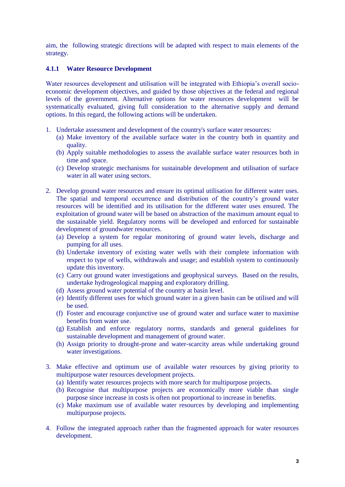aim, the following strategic directions will be adapted with respect to main elements of the strategy.

# **4.1.1 Water Resource Development**

Water resources development and utilisation will be integrated with Ethiopia's overall socioeconomic development objectives, and guided by those objectives at the federal and regional levels of the government. Alternative options for water resources development will be systematically evaluated, giving full consideration to the alternative supply and demand options. In this regard, the following actions will be undertaken.

- 1. Undertake assessment and development of the country's surface water resources:
	- (a) Make inventory of the available surface water in the country both in quantity and quality.
	- (b) Apply suitable methodologies to assess the available surface water resources both in time and space.
	- (c) Develop strategic mechanisms for sustainable development and utilisation of surface water in all water using sectors.
- 2. Develop ground water resources and ensure its optimal utilisation for different water uses. The spatial and temporal occurrence and distribution of the country's ground water resources will be identified and its utilisation for the different water uses ensured. The exploitation of ground water will be based on abstraction of the maximum amount equal to the sustainable yield. Regulatory norms will be developed and enforced for sustainable development of groundwater resources.
	- (a) Develop a system for regular monitoring of ground water levels, discharge and pumping for all uses.
	- (b) Undertake inventory of existing water wells with their complete information with respect to type of wells, withdrawals and usage; and establish system to continuously update this inventory.
	- (c) Carry out ground water investigations and geophysical surveys. Based on the results, undertake hydrogeological mapping and exploratory drilling.
	- (d) Assess ground water potential of the country at basin level.
	- (e) Identify different uses for which ground water in a given basin can be utilised and will be used.
	- (f) Foster and encourage conjunctive use of ground water and surface water to maximise benefits from water use.
	- (g) Establish and enforce regulatory norms, standards and general guidelines for sustainable development and management of ground water.
	- (h) Assign priority to drought-prone and water-scarcity areas while undertaking ground water investigations.
- 3. Make effective and optimum use of available water resources by giving priority to multipurpose water resources development projects.
	- (a) Identify water resources projects with more search for multipurpose projects.
	- (b) Recognise that multipurpose projects are economically more viable than single purpose since increase in costs is often not proportional to increase in benefits.
	- (c) Make maximum use of available water resources by developing and implementing multipurpose projects.
- 4. Follow the integrated approach rather than the fragmented approach for water resources development.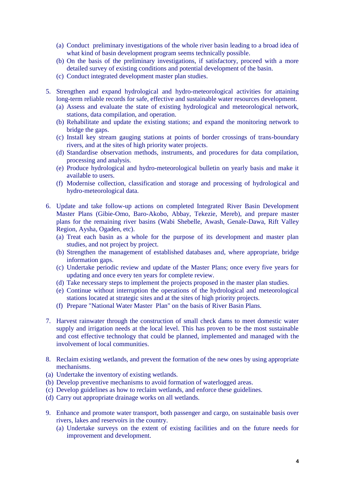- (a) Conduct preliminary investigations of the whole river basin leading to a broad idea of what kind of basin development program seems technically possible.
- (b) On the basis of the preliminary investigations, if satisfactory, proceed with a more detailed survey of existing conditions and potential development of the basin.
- (c) Conduct integrated development master plan studies.
- 5. Strengthen and expand hydrological and hydro-meteorological activities for attaining long-term reliable records for safe, effective and sustainable water resources development.
	- (a) Assess and evaluate the state of existing hydrological and meteorological network, stations, data compilation, and operation.
	- (b) Rehabilitate and update the existing stations; and expand the monitoring network to bridge the gaps.
	- (c) Install key stream gauging stations at points of border crossings of trans-boundary rivers, and at the sites of high priority water projects.
	- (d) Standardise observation methods, instruments, and procedures for data compilation, processing and analysis.
	- (e) Produce hydrological and hydro-meteorological bulletin on yearly basis and make it available to users.
	- (f) Modernise collection, classification and storage and processing of hydrological and hydro-meteorological data.
- 6. Update and take follow-up actions on completed Integrated River Basin Development Master Plans (Gibie-Omo, Baro-Akobo, Abbay, Tekezie, Mereb), and prepare master plans for the remaining river basins (Wabi Shebelle, Awash, Genale-Dawa, Rift Valley Region, Aysha, Ogaden, etc).
	- (a) Treat each basin as a whole for the purpose of its development and master plan studies, and not project by project.
	- (b) Strengthen the management of established databases and, where appropriate, bridge information gaps.
	- (c) Undertake periodic review and update of the Master Plans; once every five years for updating and once every ten years for complete review.
	- (d) Take necessary steps to implement the projects proposed in the master plan studies.
	- (e) Continue without interruption the operations of the hydrological and meteorological stations located at strategic sites and at the sites of high priority projects.
	- (f) Prepare "National Water Master Plan" on the basis of River Basin Plans.
- 7. Harvest rainwater through the construction of small check dams to meet domestic water supply and irrigation needs at the local level. This has proven to be the most sustainable and cost effective technology that could be planned, implemented and managed with the involvement of local communities.
- 8. Reclaim existing wetlands, and prevent the formation of the new ones by using appropriate mechanisms.
- (a) Undertake the inventory of existing wetlands.
- (b) Develop preventive mechanisms to avoid formation of waterlogged areas.
- (c) Develop guidelines as how to reclaim wetlands, and enforce these guidelines.
- (d) Carry out appropriate drainage works on all wetlands.
- 9. Enhance and promote water transport, both passenger and cargo, on sustainable basis over rivers, lakes and reservoirs in the country.
	- (a) Undertake surveys on the extent of existing facilities and on the future needs for improvement and development.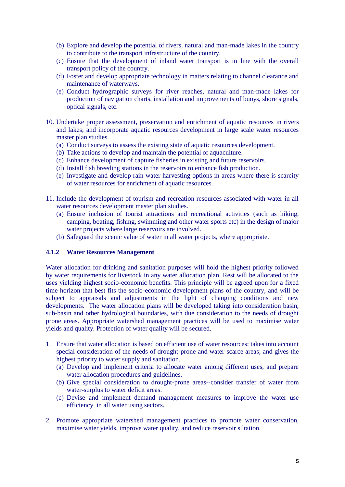- (b) Explore and develop the potential of rivers, natural and man-made lakes in the country to contribute to the transport infrastructure of the country.
- (c) Ensure that the development of inland water transport is in line with the overall transport policy of the country.
- (d) Foster and develop appropriate technology in matters relating to channel clearance and maintenance of waterways.
- (e) Conduct hydrographic surveys for river reaches, natural and man-made lakes for production of navigation charts, installation and improvements of buoys, shore signals, optical signals, etc.
- 10. Undertake proper assessment, preservation and enrichment of aquatic resources in rivers and lakes; and incorporate aquatic resources development in large scale water resources master plan studies.
	- (a) Conduct surveys to assess the existing state of aquatic resources development.
	- (b) Take actions to develop and maintain the potential of aquaculture.
	- (c) Enhance development of capture fisheries in existing and future reservoirs.
	- (d) Install fish breeding stations in the reservoirs to enhance fish production.
	- (e) Investigate and develop rain water harvesting options in areas where there is scarcity of water resources for enrichment of aquatic resources.
- 11. Include the development of tourism and recreation resources associated with water in all water resources development master plan studies.
	- (a) Ensure inclusion of tourist attractions and recreational activities (such as hiking, camping, boating, fishing, swimming and other water sports etc) in the design of major water projects where large reservoirs are involved.
	- (b) Safeguard the scenic value of water in all water projects, where appropriate.

## **4.1.2 Water Resources Management**

Water allocation for drinking and sanitation purposes will hold the highest priority followed by water requirements for livestock in any water allocation plan. Rest will be allocated to the uses yielding highest socio-economic benefits. This principle will be agreed upon for a fixed time horizon that best fits the socio-economic development plans of the country, and will be subject to appraisals and adjustments in the light of changing conditions and new developments. The water allocation plans will be developed taking into consideration basin, sub-basin and other hydrological boundaries, with due consideration to the needs of drought prone areas. Appropriate watershed management practices will be used to maximise water yields and quality. Protection of water quality will be secured.

- 1. Ensure that water allocation is based on efficient use of water resources; takes into account special consideration of the needs of drought-prone and water-scarce areas; and gives the highest priority to water supply and sanitation.
	- (a) Develop and implement criteria to allocate water among different uses, and prepare water allocation procedures and guidelines.
	- (b) Give special consideration to drought-prone areas--consider transfer of water from water-surplus to water deficit areas.
	- (c) Devise and implement demand management measures to improve the water use efficiency in all water using sectors.
- 2. Promote appropriate watershed management practices to promote water conservation, maximise water yields, improve water quality, and reduce reservoir siltation.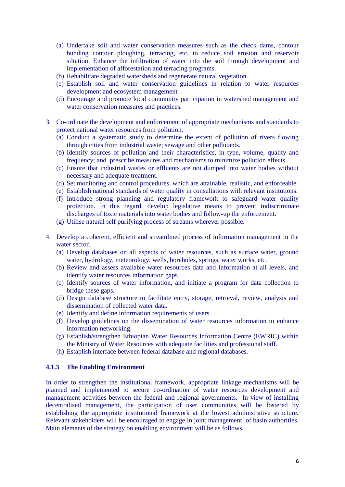- (a) Undertake soil and water conservation measures such as the check dams, contour bunding contour ploughing, terracing, etc. to reduce soil erosion and reservoir siltation. Enhance the infiltration of water into the soil through development and implementation of afforestation and terracing programs.
- (b) Rehabilitate degraded watersheds and regenerate natural vegetation.
- (c) Establish soil and water conservation guidelines in relation to water resources development and ecosystem management .
- (d) Encourage and promote local community participation in watershed management and water conservation measures and practices.
- 3. Co-ordinate the development and enforcement of appropriate mechanisms and standards to protect national water resources from pollution.
	- (a) Conduct a systematic study to determine the extent of pollution of rivers flowing through cities from industrial waste; sewage and other pollutants.
	- (b) Identify sources of pollution and their characteristics, in type, volume, quality and frequency; and prescribe measures and mechanisms to minimize pollution effects.
	- (c) Ensure that industrial wastes or effluents are not dumped into water bodies without necessary and adequate treatment.
	- (d) Set monitoring and control procedures, which are attainable, realistic, and enforceable.
	- (e) Establish national standards of water quality in consultations with relevant institutions.
	- (f) Introduce strong planning and regulatory framework to safeguard water quality protection. In this regard, develop legislative means to prevent indiscriminate discharges of toxic materials into water bodies and follow-up the enforcement.
	- (g) Utilise natural self purifying process of streams wherever possible.
- 4. Develop a coherent, efficient and streamlined process of information management in the water sector.
	- (a) Develop databases on all aspects of water resources, such as surface water, ground water, hydrology, meteorology, wells, boreholes, springs, water works, etc.
	- (b) Review and assess available water resources data and information at all levels, and identify water resources information gaps.
	- (c) Identify sources of water information, and initiate a program for data collection to bridge these gaps.
	- (d) Design database structure to facilitate entry, storage, retrieval, review, analysis and dissemination of collected water data.
	- (e) Identify and define information requirements of users.
	- (f) Develop guidelines on the dissemination of water resources information to enhance information networking.
	- (g) Establish/strengthen Ethiopian Water Resources Information Centre (EWRIC) within the Ministry of Water Resources with adequate facilities and professional staff.
	- (h) Establish interface between federal database and regional databases.

#### **4.1.3 The Enabling Environment**

In order to strengthen the institutional framework, appropriate linkage mechanisms will be planned and implemented to secure co-ordination of water resources development and management activities between the federal and regional governments. In view of installing decentralised management, the participation of user communities will be fostered by establishing the appropriate institutional framework at the lowest administrative structure. Relevant stakeholders will be encouraged to engage in joint management of basin authorities. Main elements of the strategy on enabling environment will be as follows.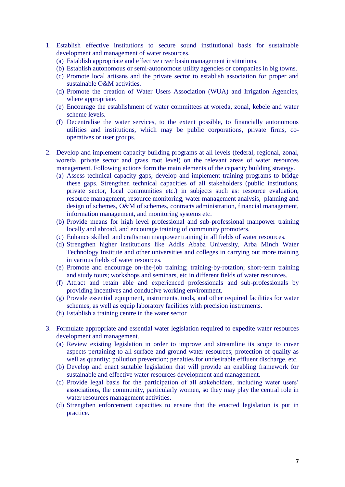- 1. Establish effective institutions to secure sound institutional basis for sustainable development and management of water resources.
	- (a) Establish appropriate and effective river basin management institutions.
	- (b) Establish autonomous or semi-autonomous utility agencies or companies in big towns.
	- (c) Promote local artisans and the private sector to establish association for proper and sustainable O&M activities.
	- (d) Promote the creation of Water Users Association (WUA) and Irrigation Agencies, where appropriate.
	- (e) Encourage the establishment of water committees at woreda, zonal, kebele and water scheme levels.
	- (f) Decentralise the water services, to the extent possible, to financially autonomous utilities and institutions, which may be public corporations, private firms, cooperatives or user groups.
- 2. Develop and implement capacity building programs at all levels (federal, regional, zonal, woreda, private sector and grass root level) on the relevant areas of water resources management. Following actions form the main elements of the capacity building strategy.
	- (a) Assess technical capacity gaps; develop and implement training programs to bridge these gaps. Strengthen technical capacities of all stakeholders (public institutions, private sector, local communities etc.) in subjects such as: resource evaluation, resource management, resource monitoring, water management analysis, planning and design of schemes, O&M of schemes, contracts administration, financial management, information management, and monitoring systems etc.
	- (b) Provide means for high level professional and sub-professional manpower training locally and abroad, and encourage training of community promoters.
	- (c) Enhance skilled and craftsman manpower training in all fields of water resources.
	- (d) Strengthen higher institutions like Addis Ababa University, Arba Minch Water Technology Institute and other universities and colleges in carrying out more training in various fields of water resources.
	- (e) Promote and encourage on-the-job training; training-by-rotation; short-term training and study tours; workshops and seminars, etc in different fields of water resources.
	- (f) Attract and retain able and experienced professionals and sub-professionals by providing incentives and conducive working environment.
	- (g) Provide essential equipment, instruments, tools, and other required facilities for water schemes, as well as equip laboratory facilities with precision instruments.
	- (h) Establish a training centre in the water sector
- 3. Formulate appropriate and essential water legislation required to expedite water resources development and management.
	- (a) Review existing legislation in order to improve and streamline its scope to cover aspects pertaining to all surface and ground water resources; protection of quality as well as quantity; pollution prevention; penalties for undesirable effluent discharge, etc.
	- (b) Develop and enact suitable legislation that will provide an enabling framework for sustainable and effective water resources development and management.
	- (c) Provide legal basis for the participation of all stakeholders, including water users' associations, the community, particularly women, so they may play the central role in water resources management activities.
	- (d) Strengthen enforcement capacities to ensure that the enacted legislation is put in practice.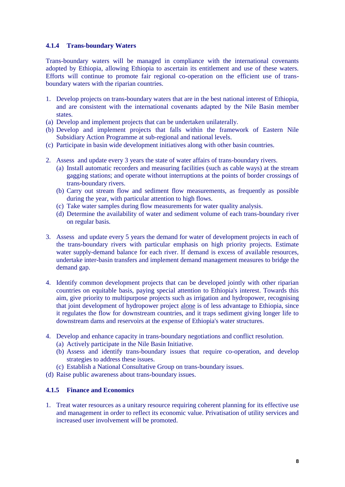# **4.1.4 Trans-boundary Waters**

Trans-boundary waters will be managed in compliance with the international covenants adopted by Ethiopia, allowing Ethiopia to ascertain its entitlement and use of these waters. Efforts will continue to promote fair regional co-operation on the efficient use of transboundary waters with the riparian countries.

- 1. Develop projects on trans-boundary waters that are in the best national interest of Ethiopia, and are consistent with the international covenants adapted by the Nile Basin member states.
- (a) Develop and implement projects that can be undertaken unilaterally.
- (b) Develop and implement projects that falls within the framework of Eastern Nile Subsidiary Action Programme at sub-regional and national levels.
- (c) Participate in basin wide development initiatives along with other basin countries.
- 2. Assess and update every 3 years the state of water affairs of trans-boundary rivers.
	- (a) Install automatic recorders and measuring facilities (such as cable ways) at the stream gagging stations; and operate without interruptions at the points of border crossings of trans-boundary rivers.
	- (b) Carry out stream flow and sediment flow measurements, as frequently as possible during the year, with particular attention to high flows.
	- (c) Take water samples during flow measurements for water quality analysis.
	- (d) Determine the availability of water and sediment volume of each trans-boundary river on regular basis.
- 3. Assess and update every 5 years the demand for water of development projects in each of the trans-boundary rivers with particular emphasis on high priority projects. Estimate water supply-demand balance for each river. If demand is excess of available resources, undertake inter-basin transfers and implement demand management measures to bridge the demand gap.
- 4. Identify common development projects that can be developed jointly with other riparian countries on equitable basis, paying special attention to Ethiopia's interest. Towards this aim, give priority to multipurpose projects such as irrigation and hydropower, recognising that joint development of hydropower project alone is of less advantage to Ethiopia, since it regulates the flow for downstream countries, and it traps sediment giving longer life to downstream dams and reservoirs at the expense of Ethiopia's water structures.
- 4. Develop and enhance capacity in trans-boundary negotiations and conflict resolution.
	- (a) Actively participate in the Nile Basin Initiative.
	- (b) Assess and identify trans-boundary issues that require co-operation, and develop strategies to address these issues.
	- (c) Establish a National Consultative Group on trans-boundary issues.
- (d) Raise public awareness about trans-boundary issues.

#### **4.1.5 Finance and Economics**

1. Treat water resources as a unitary resource requiring coherent planning for its effective use and management in order to reflect its economic value. Privatisation of utility services and increased user involvement will be promoted.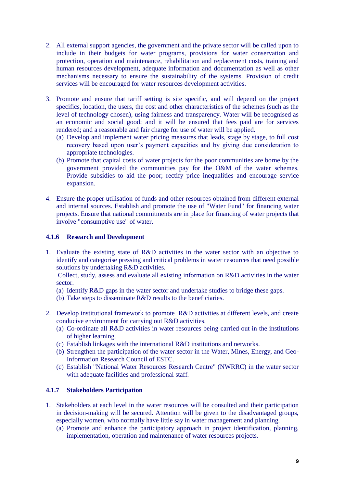- 2. All external support agencies, the government and the private sector will be called upon to include in their budgets for water programs, provisions for water conservation and protection, operation and maintenance, rehabilitation and replacement costs, training and human resources development, adequate information and documentation as well as other mechanisms necessary to ensure the sustainability of the systems. Provision of credit services will be encouraged for water resources development activities.
- 3. Promote and ensure that tariff setting is site specific, and will depend on the project specifics, location, the users, the cost and other characteristics of the schemes (such as the level of technology chosen), using fairness and transparency. Water will be recognised as an economic and social good; and it will be ensured that fees paid are for services rendered; and a reasonable and fair charge for use of water will be applied.
	- (a) Develop and implement water pricing measures that leads, stage by stage, to full cost recovery based upon user's payment capacities and by giving due consideration to appropriate technologies.
	- (b) Promote that capital costs of water projects for the poor communities are borne by the government provided the communities pay for the O&M of the water schemes. Provide subsidies to aid the poor; rectify price inequalities and encourage service expansion.
- 4. Ensure the proper utilisation of funds and other resources obtained from different external and internal sources. Establish and promote the use of "Water Fund" for financing water projects. Ensure that national commitments are in place for financing of water projects that involve "consumptive use" of water.

# **4.1.6 Research and Development**

1. Evaluate the existing state of R&D activities in the water sector with an objective to identify and categorise pressing and critical problems in water resources that need possible solutions by undertaking R&D activities.

Collect, study, assess and evaluate all existing information on R&D activities in the water sector.

- (a) Identify R&D gaps in the water sector and undertake studies to bridge these gaps.
- (b) Take steps to disseminate R&D results to the beneficiaries.
- 2. Develop institutional framework to promote R&D activities at different levels, and create conducive environment for carrying out R&D activities.
	- (a) Co-ordinate all R&D activities in water resources being carried out in the institutions of higher learning.
	- (c) Establish linkages with the international R&D institutions and networks.
	- (b) Strengthen the participation of the water sector in the Water, Mines, Energy, and Geo-Information Research Council of ESTC.
	- (c) Establish "National Water Resources Research Centre" (NWRRC) in the water sector with adequate facilities and professional staff.

# **4.1.7 Stakeholders Participation**

- 1. Stakeholders at each level in the water resources will be consulted and their participation in decision-making will be secured. Attention will be given to the disadvantaged groups, especially women, who normally have little say in water management and planning.
	- (a) Promote and enhance the participatory approach in project identification, planning, implementation, operation and maintenance of water resources projects.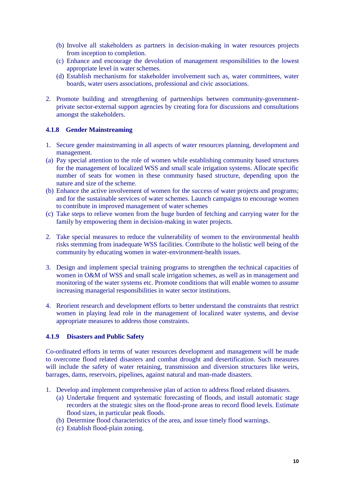- (b) Involve all stakeholders as partners in decision-making in water resources projects from inception to completion.
- (c) Enhance and encourage the devolution of management responsibilities to the lowest appropriate level in water schemes.
- (d) Establish mechanisms for stakeholder involvement such as, water committees, water boards, water users associations, professional and civic associations.
- 2. Promote building and strengthening of partnerships between community-governmentprivate sector-external support agencies by creating fora for discussions and consultations amongst the stakeholders.

# **4.1.8 Gender Mainstreaming**

- 1. Secure gender mainstreaming in all aspects of water resources planning, development and management.
- (a) Pay special attention to the role of women while establishing community based structures for the management of localized WSS and small scale irrigation systems. Allocate specific number of seats for women in these community based structure, depending upon the nature and size of the scheme.
- (b) Enhance the active involvement of women for the success of water projects and programs; and for the sustainable services of water schemes. Launch campaigns to encourage women to contribute in improved management of water schemes
- (c) Take steps to relieve women from the huge burden of fetching and carrying water for the family by empowering them in decision-making in water projects.
- 2. Take special measures to reduce the vulnerability of women to the environmental health risks stemming from inadequate WSS facilities. Contribute to the holistic well being of the community by educating women in water-environment-health issues.
- 3. Design and implement special training programs to strengthen the technical capacities of women in O&M of WSS and small scale irrigation schemes, as well as in management and monitoring of the water systems etc. Promote conditions that will enable women to assume increasing managerial responsibilities in water sector institutions.
- 4. Reorient research and development efforts to better understand the constraints that restrict women in playing lead role in the management of localized water systems, and devise appropriate measures to address those constraints.

#### **4.1.9 Disasters and Public Safety**

Co-ordinated efforts in terms of water resources development and management will be made to overcome flood related disasters and combat drought and desertification. Such measures will include the safety of water retaining, transmission and diversion structures like weirs, barrages, dams, reservoirs, pipelines, against natural and man-made disasters.

- 1. Develop and implement comprehensive plan of action to address flood related disasters.
	- (a) Undertake frequent and systematic forecasting of floods, and install automatic stage recorders at the strategic sites on the flood-prone areas to record flood levels. Estimate flood sizes, in particular peak floods.
	- (b) Determine flood characteristics of the area, and issue timely flood warnings.
	- (c) Establish flood-plain zoning.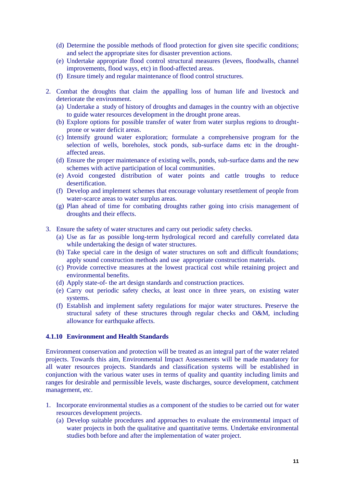- (d) Determine the possible methods of flood protection for given site specific conditions; and select the appropriate sites for disaster prevention actions.
- (e) Undertake appropriate flood control structural measures (levees, floodwalls, channel improvements, flood ways, etc) in flood-affected areas.
- (f) Ensure timely and regular maintenance of flood control structures.
- 2. Combat the droughts that claim the appalling loss of human life and livestock and deteriorate the environment.
	- (a) Undertake a study of history of droughts and damages in the country with an objective to guide water resources development in the drought prone areas.
	- (b) Explore options for possible transfer of water from water surplus regions to droughtprone or water deficit areas.
	- (c) Intensify ground water exploration; formulate a comprehensive program for the selection of wells, boreholes, stock ponds, sub-surface dams etc in the droughtaffected areas.
	- (d) Ensure the proper maintenance of existing wells, ponds, sub-surface dams and the new schemes with active participation of local communities.
	- (e) Avoid congested distribution of water points and cattle troughs to reduce desertification.
	- (f) Develop and implement schemes that encourage voluntary resettlement of people from water-scarce areas to water surplus areas.
	- (g) Plan ahead of time for combating droughts rather going into crisis management of droughts and their effects.
- 3. Ensure the safety of water structures and carry out periodic safety checks.
	- (a) Use as far as possible long-term hydrological record and carefully correlated data while undertaking the design of water structures.
	- (b) Take special care in the design of water structures on soft and difficult foundations; apply sound construction methods and use appropriate construction materials.
	- (c) Provide corrective measures at the lowest practical cost while retaining project and environmental benefits.
	- (d) Apply state-of- the art design standards and construction practices.
	- (e) Carry out periodic safety checks, at least once in three years, on existing water systems.
	- (f) Establish and implement safety regulations for major water structures. Preserve the structural safety of these structures through regular checks and O&M, including allowance for earthquake affects.

#### **4.1.10 Environment and Health Standards**

Environment conservation and protection will be treated as an integral part of the water related projects. Towards this aim, Environmental Impact Assessments will be made mandatory for all water resources projects. Standards and classification systems will be established in conjunction with the various water uses in terms of quality and quantity including limits and ranges for desirable and permissible levels, waste discharges, source development, catchment management, etc.

- 1. Incorporate environmental studies as a component of the studies to be carried out for water resources development projects.
	- (a) Develop suitable procedures and approaches to evaluate the environmental impact of water projects in both the qualitative and quantitative terms. Undertake environmental studies both before and after the implementation of water project.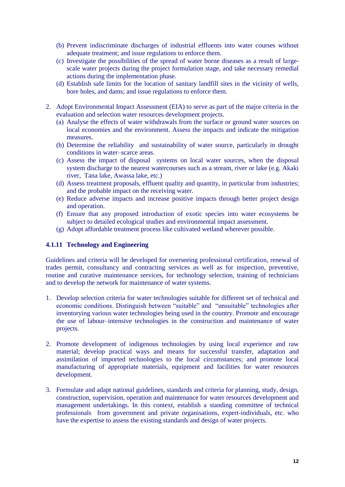- (b) Prevent indiscriminate discharges of industrial effluents into water courses without adequate treatment; and issue regulations to enforce them.
- (c) Investigate the possibilities of the spread of water borne diseases as a result of largescale water projects during the project formulation stage, and take necessary remedial actions during the implementation phase.
- (d) Establish safe limits for the location of sanitary landfill sites in the vicinity of wells, bore holes, and dams; and issue regulations to enforce them.
- 2. Adopt Environmental Impact Assessment (EIA) to serve as part of the major criteria in the evaluation and selection water resources development projects.
	- (a) Analyse the effects of water withdrawals from the surface or ground water sources on local economies and the environment. Assess the impacts and indicate the mitigation measures.
	- (b) Determine the reliability and sustainability of water source, particularly in drought conditions in water–scarce areas.
	- (c) Assess the impact of disposal systems on local water sources, when the disposal system discharge to the nearest watercourses such as a stream, river or lake (e.g. Akaki river, Tana lake, Awassa lake, etc.)
	- (d) Assess treatment proposals, effluent quality and quantity, in particular from industries; and the probable impact on the receiving water.
	- (e) Reduce adverse impacts and increase positive impacts through better project design and operation.
	- (f) Ensure that any proposed introduction of exotic species into water ecosystems be subject to detailed ecological studies and environmental impact assessment.
	- (g) Adopt affordable treatment process like cultivated wetland wherever possible.

# **4.1.11 Technology and Engineering**

Guidelines and criteria will be developed for overseeing professional certification, renewal of trades permit, consultancy and contracting services as well as for inspection, preventive, routine and curative maintenance services, for technology selection, training of technicians and to develop the network for maintenance of water systems.

- 1. Develop selection criteria for water technologies suitable for different set of technical and economic conditions. Distinguish between "suitable" and "unsuitable" technologies after inventorying various water technologies being used in the country. Promote and encourage the use of labour–intensive technologies in the construction and maintenance of water projects.
- 2. Promote development of indigenous technologies by using local experience and raw material; develop practical ways and means for successful transfer, adaptation and assimilation of imported technologies to the local circumstances; and promote local manufacturing of appropriate materials, equipment and facilities for water resources development.
- 3. Formulate and adapt national guidelines, standards and criteria for planning, study, design, construction, supervision, operation and maintenance for water resources development and management undertakings. In this context, establish a standing committee of technical professionals from government and private organisations, expert-individuals, etc. who have the expertise to assess the existing standards and design of water projects.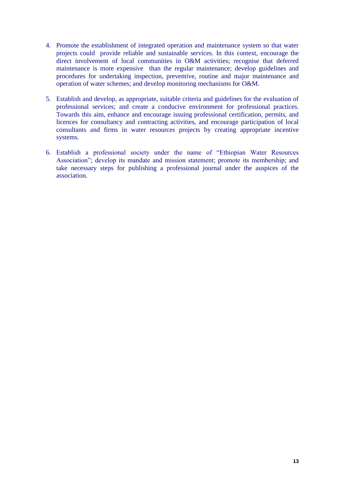- 4. Promote the establishment of integrated operation and maintenance system so that water projects could provide reliable and sustainable services. In this context, encourage the direct involvement of local communities in O&M activities; recognise that deferred maintenance is more expensive than the regular maintenance; develop guidelines and procedures for undertaking inspection, preventive, routine and major maintenance and operation of water schemes; and develop monitoring mechanisms for O&M.
- 5. Establish and develop, as appropriate, suitable criteria and guidelines for the evaluation of professional services; and create a conducive environment for professional practices. Towards this aim, enhance and encourage issuing professional certification, permits, and licences for consultancy and contracting activities, and encourage participation of local consultants and firms in water resources projects by creating appropriate incentive systems.
- 6. Establish a professional society under the name of "Ethiopian Water Resources Association"; develop its mandate and mission statement; promote its membership; and take necessary steps for publishing a professional journal under the auspices of the association.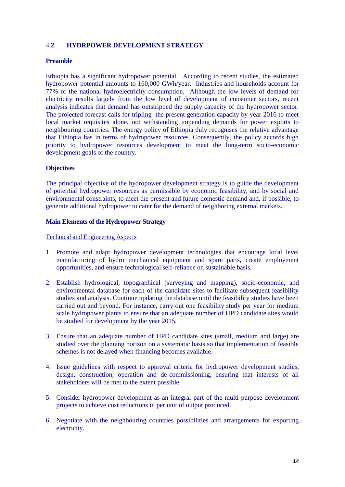# 4**.2 HYDRPOWER DEVELOPMENT STRATEGY**

# **Preamble**

Ethiopia has a significant hydropower potential. According to recent studies, the estimated hydropower potential amounts to 160,000 GWh/year. Industries and households account for 77% of the national hydroelectricity consumption. Although the low levels of demand for electricity results largely from the low level of development of consumer sectors, recent analysis indicates that demand has outstripped the supply capacity of the hydropower sector. The projected forecast calls for tripling the present generation capacity by year 2016 to meet local market requisites alone, not withstanding impending demands for power exports to neighbouring countries. The energy policy of Ethiopia duly recognises the relative advantage that Ethiopia has in terms of hydropower resources. Consequently, the policy accords high priority to hydropower resources development to meet the long-term socio-economic development goals of the country.

# **Objectives**

The principal objective of the hydropower development strategy is to guide the development of potential hydropower resources as permissible by economic feasibility, and by social and environmental constraints, to meet the present and future domestic demand and, if possible, to generate additional hydropower to cater for the demand of neighboring external markets.

#### **Main Elements of the Hydropower Strategy**

Technical and Engineering Aspects

- 1. Promote and adapt hydropower development technologies that encourage local level manufacturing of hydro mechanical equipment and spare parts, create employment opportunities, and ensure technological self-reliance on sustainable basis.
- 2. Establish hydrological, topographical (surveying and mapping), socio-economic, and environmental database for each of the candidate sites to facilitate subsequent feasibility studies and analysis. Continue updating the database until the feasibility studies have been carried out and beyond. For instance, carry out one feasibility study per year for medium scale hydropower plants to ensure that an adequate number of HPD candidate sites would be studied for development by the year 2015.
- 3. Ensure that an adequate number of HPD candidate sites (small, medium and large) are studied over the planning horizon on a systematic basis so that implementation of feasible schemes is not delayed when financing becomes available.
- 4. Issue guidelines with respect to approval criteria for hydropower development studies, design, construction, operation and de-commissioning, ensuring that interests of all stakeholders will be met to the extent possible.
- 5. Consider hydropower development as an integral part of the multi-purpose development projects to achieve cost reductions in per unit of output produced.
- 6. Negotiate with the neighbouring countries possibilities and arrangements for exporting electricity.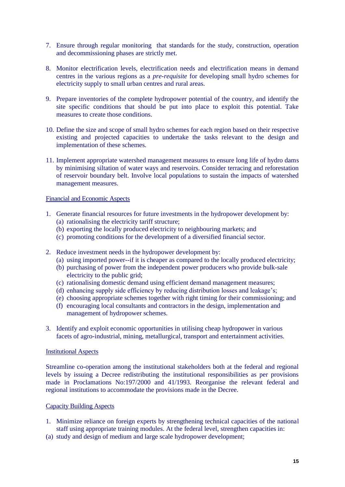- 7. Ensure through regular monitoring that standards for the study, construction, operation and decommissioning phases are strictly met.
- 8. Monitor electrification levels, electrification needs and electrification means in demand centres in the various regions as a *pre-requisite* for developing small hydro schemes for electricity supply to small urban centres and rural areas.
- 9. Prepare inventories of the complete hydropower potential of the country, and identify the site specific conditions that should be put into place to exploit this potential. Take measures to create those conditions.
- 10. Define the size and scope of small hydro schemes for each region based on their respective existing and projected capacities to undertake the tasks relevant to the design and implementation of these schemes.
- 11. Implement appropriate watershed management measures to ensure long life of hydro dams by minimising siltation of water ways and reservoirs. Consider terracing and reforestation of reservoir boundary belt. Involve local populations to sustain the impacts of watershed management measures.

#### Financial and Economic Aspects

- 1. Generate financial resources for future investments in the hydropower development by: (a) rationalising the electricity tariff structure;
	- (b) exporting the locally produced electricity to neighbouring markets; and
	- (c) promoting conditions for the development of a diversified financial sector.
- 2. Reduce investment needs in the hydropower development by:
	- (a) using imported power--if it is cheaper as compared to the locally produced electricity;
	- (b) purchasing of power from the independent power producers who provide bulk-sale electricity to the public grid;
	- (c) rationalising domestic demand using efficient demand management measures;
	- (d) enhancing supply side efficiency by reducing distribution losses and leakage's;
	- (e) choosing appropriate schemes together with right timing for their commissioning; and
	- (f) encouraging local consultants and contractors in the design, implementation and management of hydropower schemes.
- 3. Identify and exploit economic opportunities in utilising cheap hydropower in various facets of agro-industrial, mining, metallurgical, transport and entertainment activities.

#### Institutional Aspects

Streamline co-operation among the institutional stakeholders both at the federal and regional levels by issuing a Decree redistributing the institutional responsibilities as per provisions made in Proclamations No:197/2000 and 41/1993. Reorganise the relevant federal and regional institutions to accommodate the provisions made in the Decree.

#### Capacity Building Aspects

- 1. Minimize reliance on foreign experts by strengthening technical capacities of the national staff using appropriate training modules. At the federal level, strengthen capacities in:
- (a) study and design of medium and large scale hydropower development;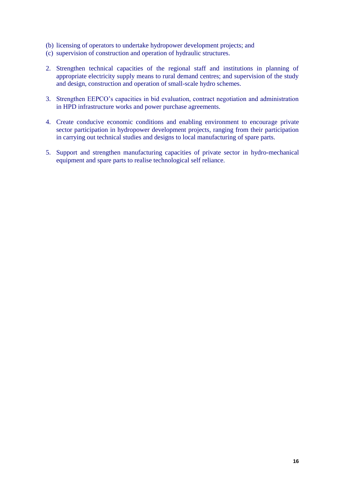- (b) licensing of operators to undertake hydropower development projects; and
- (c) supervision of construction and operation of hydraulic structures.
- 2. Strengthen technical capacities of the regional staff and institutions in planning of appropriate electricity supply means to rural demand centres; and supervision of the study and design, construction and operation of small-scale hydro schemes.
- 3. Strengthen EEPCO's capacities in bid evaluation, contract negotiation and administration in HPD infrastructure works and power purchase agreements.
- 4. Create conducive economic conditions and enabling environment to encourage private sector participation in hydropower development projects, ranging from their participation in carrying out technical studies and designs to local manufacturing of spare parts.
- 5. Support and strengthen manufacturing capacities of private sector in hydro-mechanical equipment and spare parts to realise technological self reliance.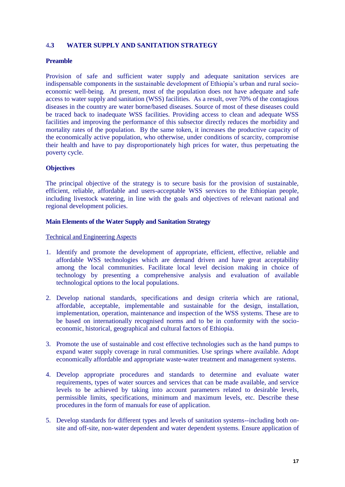# 4**.3 WATER SUPPLY AND SANITATION STRATEGY**

# **Preamble**

Provision of safe and sufficient water supply and adequate sanitation services are indispensable components in the sustainable development of Ethiopia's urban and rural socioeconomic well-being. At present, most of the population does not have adequate and safe access to water supply and sanitation (WSS) facilities. As a result, over 70% of the contagious diseases in the country are water borne/based diseases. Source of most of these diseases could be traced back to inadequate WSS facilities. Providing access to clean and adequate WSS facilities and improving the performance of this subsector directly reduces the morbidity and mortality rates of the population. By the same token, it increases the productive capacity of the economically active population, who otherwise, under conditions of scarcity, compromise their health and have to pay disproportionately high prices for water, thus perpetuating the poverty cycle.

# **Objectives**

The principal objective of the strategy is to secure basis for the provision of sustainable, efficient, reliable, affordable and users-acceptable WSS services to the Ethiopian people, including livestock watering, in line with the goals and objectives of relevant national and regional development policies.

#### **Main Elements of the Water Supply and Sanitation Strategy**

Technical and Engineering Aspects

- 1. Identify and promote the development of appropriate, efficient, effective, reliable and affordable WSS technologies which are demand driven and have great acceptability among the local communities. Facilitate local level decision making in choice of technology by presenting a comprehensive analysis and evaluation of available technological options to the local populations.
- 2. Develop national standards, specifications and design criteria which are rational, affordable, acceptable, implementable and sustainable for the design, installation, implementation, operation, maintenance and inspection of the WSS systems. These are to be based on internationally recognised norms and to be in conformity with the socioeconomic, historical, geographical and cultural factors of Ethiopia.
- 3. Promote the use of sustainable and cost effective technologies such as the hand pumps to expand water supply coverage in rural communities. Use springs where available. Adopt economically affordable and appropriate waste-water treatment and management systems.
- 4. Develop appropriate procedures and standards to determine and evaluate water requirements, types of water sources and services that can be made available, and service levels to be achieved by taking into account parameters related to desirable levels, permissible limits, specifications, minimum and maximum levels, etc. Describe these procedures in the form of manuals for ease of application.
- 5. Develop standards for different types and levels of sanitation systems--including both onsite and off-site, non-water dependent and water dependent systems. Ensure application of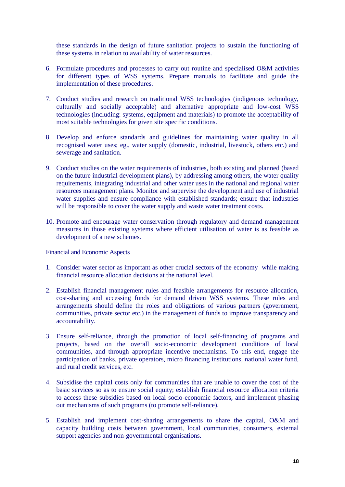these standards in the design of future sanitation projects to sustain the functioning of these systems in relation to availability of water resources.

- 6. Formulate procedures and processes to carry out routine and specialised O&M activities for different types of WSS systems. Prepare manuals to facilitate and guide the implementation of these procedures.
- 7. Conduct studies and research on traditional WSS technologies (indigenous technology, culturally and socially acceptable) and alternative appropriate and low-cost WSS technologies (including: systems, equipment and materials) to promote the acceptability of most suitable technologies for given site specific conditions.
- 8. Develop and enforce standards and guidelines for maintaining water quality in all recognised water uses; eg., water supply (domestic, industrial, livestock, others etc.) and sewerage and sanitation.
- 9. Conduct studies on the water requirements of industries, both existing and planned (based on the future industrial development plans), by addressing among others, the water quality requirements, integrating industrial and other water uses in the national and regional water resources management plans. Monitor and supervise the development and use of industrial water supplies and ensure compliance with established standards; ensure that industries will be responsible to cover the water supply and waste water treatment costs.
- 10. Promote and encourage water conservation through regulatory and demand management measures in those existing systems where efficient utilisation of water is as feasible as development of a new schemes.

#### Financial and Economic Aspects

- 1. Consider water sector as important as other crucial sectors of the economy while making financial resource allocation decisions at the national level.
- 2. Establish financial management rules and feasible arrangements for resource allocation, cost-sharing and accessing funds for demand driven WSS systems. These rules and arrangements should define the roles and obligations of various partners (government, communities, private sector etc.) in the management of funds to improve transparency and accountability.
- 3. Ensure self-reliance, through the promotion of local self-financing of programs and projects, based on the overall socio-economic development conditions of local communities, and through appropriate incentive mechanisms. To this end, engage the participation of banks, private operators, micro financing institutions, national water fund, and rural credit services, etc.
- 4. Subsidise the capital costs only for communities that are unable to cover the cost of the basic services so as to ensure social equity; establish financial resource allocation criteria to access these subsidies based on local socio-economic factors, and implement phasing out mechanisms of such programs (to promote self-reliance).
- 5. Establish and implement cost-sharing arrangements to share the capital, O&M and capacity building costs between government, local communities, consumers, external support agencies and non-governmental organisations.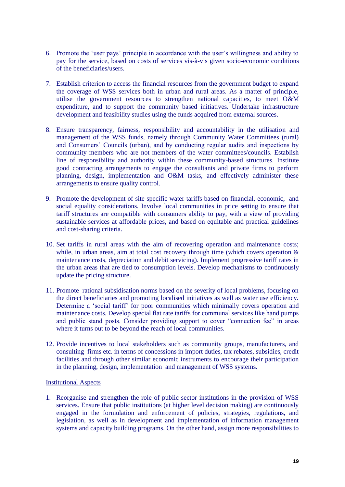- 6. Promote the 'user pays' principle in accordance with the user's willingness and ability to pay for the service, based on costs of services vis-à-vis given socio-economic conditions of the beneficiaries/users.
- 7. Establish criterion to access the financial resources from the government budget to expand the coverage of WSS services both in urban and rural areas. As a matter of principle, utilise the government resources to strengthen national capacities, to meet O&M expenditure, and to support the community based initiatives. Undertake infrastructure development and feasibility studies using the funds acquired from external sources.
- 8. Ensure transparency, fairness, responsibility and accountability in the utilisation and management of the WSS funds, namely through Community Water Committees (rural) and Consumers' Councils (urban), and by conducting regular audits and inspections by community members who are not members of the water committees/councils. Establish line of responsibility and authority within these community-based structures. Institute good contracting arrangements to engage the consultants and private firms to perform planning, design, implementation and O&M tasks, and effectively administer these arrangements to ensure quality control.
- 9. Promote the development of site specific water tariffs based on financial, economic, and social equality considerations. Involve local communities in price setting to ensure that tariff structures are compatible with consumers ability to pay, with a view of providing sustainable services at affordable prices, and based on equitable and practical guidelines and cost-sharing criteria.
- 10. Set tariffs in rural areas with the aim of recovering operation and maintenance costs; while, in urban areas, aim at total cost recovery through time (which covers operation  $\&$ maintenance costs, depreciation and debit servicing). Implement progressive tariff rates in the urban areas that are tied to consumption levels. Develop mechanisms to continuously update the pricing structure.
- 11. Promote rational subsidisation norms based on the severity of local problems, focusing on the direct beneficiaries and promoting localised initiatives as well as water use efficiency. Determine a 'social tariff' for poor communities which minimally covers operation and maintenance costs. Develop special flat rate tariffs for communal services like hand pumps and public stand posts. Consider providing support to cover "connection fee" in areas where it turns out to be beyond the reach of local communities.
- 12. Provide incentives to local stakeholders such as community groups, manufacturers, and consulting firms etc. in terms of concessions in import duties, tax rebates, subsidies, credit facilities and through other similar economic instruments to encourage their participation in the planning, design, implementation and management of WSS systems.

#### Institutional Aspects

1. Reorganise and strengthen the role of public sector institutions in the provision of WSS services. Ensure that public institutions (at higher level decision making) are continuously engaged in the formulation and enforcement of policies, strategies, regulations, and legislation, as well as in development and implementation of information management systems and capacity building programs. On the other hand, assign more responsibilities to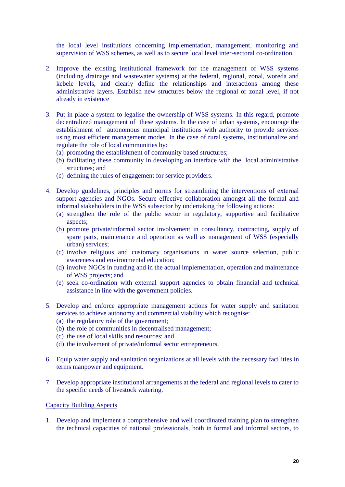the local level institutions concerning implementation, management, monitoring and supervision of WSS schemes, as well as to secure local level inter-sectoral co-ordination.

- 2. Improve the existing institutional framework for the management of WSS systems (including drainage and wastewater systems) at the federal, regional, zonal, woreda and kebele levels, and clearly define the relationships and interactions among these administrative layers. Establish new structures below the regional or zonal level, if not already in existence
- 3. Put in place a system to legalise the ownership of WSS systems. In this regard, promote decentralized management of these systems. In the case of urban systems, encourage the establishment of autonomous municipal institutions with authority to provide services using most efficient management modes. In the case of rural systems, institutionalize and regulate the role of local communities by:
	- (a) promoting the establishment of community based structures;
	- (b) facilitating these community in developing an interface with the local administrative structures; and
	- (c) defining the rules of engagement for service providers.
- 4. Develop guidelines, principles and norms for streamlining the interventions of external support agencies and NGOs. Secure effective collaboration amongst all the formal and informal stakeholders in the WSS subsector by undertaking the following actions:
	- (a) strengthen the role of the public sector in regulatory, supportive and facilitative aspects;
	- (b) promote private/informal sector involvement in consultancy, contracting, supply of spare parts, maintenance and operation as well as management of WSS (especially urban) services;
	- (c) involve religious and customary organisations in water source selection, public awareness and environmental education;
	- (d) involve NGOs in funding and in the actual implementation, operation and maintenance of WSS projects; and
	- (e) seek co-ordination with external support agencies to obtain financial and technical assistance in line with the government policies.
- 5. Develop and enforce appropriate management actions for water supply and sanitation services to achieve autonomy and commercial viability which recognise:
	- (a) the regulatory role of the government;
	- (b) the role of communities in decentralised management;
	- (c) the use of local skills and resources; and
	- (d) the involvement of private/informal sector entrepreneurs.
- 6. Equip water supply and sanitation organizations at all levels with the necessary facilities in terms manpower and equipment.
- 7. Develop appropriate institutional arrangements at the federal and regional levels to cater to the specific needs of livestock watering.

#### Capacity Building Aspects

1. Develop and implement a comprehensive and well coordinated training plan to strengthen the technical capacities of national professionals, both in formal and informal sectors, to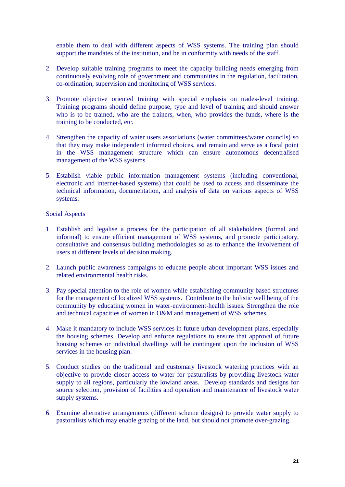enable them to deal with different aspects of WSS systems. The training plan should support the mandates of the institution, and be in conformity with needs of the staff.

- 2. Develop suitable training programs to meet the capacity building needs emerging from continuously evolving role of government and communities in the regulation, facilitation, co-ordination, supervision and monitoring of WSS services.
- 3. Promote objective oriented training with special emphasis on trades-level training. Training programs should define purpose, type and level of training and should answer who is to be trained, who are the trainers, when, who provides the funds, where is the training to be conducted, etc.
- 4. Strengthen the capacity of water users associations (water committees/water councils) so that they may make independent informed choices, and remain and serve as a focal point in the WSS management structure which can ensure autonomous decentralised management of the WSS systems.
- 5. Establish viable public information management systems (including conventional, electronic and internet-based systems) that could be used to access and disseminate the technical information, documentation, and analysis of data on various aspects of WSS systems.

#### Social Aspects

- 1. Establish and legalise a process for the participation of all stakeholders (formal and informal) to ensure efficient management of WSS systems, and promote participatory, consultative and consensus building methodologies so as to enhance the involvement of users at different levels of decision making.
- 2. Launch public awareness campaigns to educate people about important WSS issues and related environmental health risks.
- 3. Pay special attention to the role of women while establishing community based structures for the management of localized WSS systems. Contribute to the holistic well being of the community by educating women in water-environment-health issues. Strengthen the role and technical capacities of women in O&M and management of WSS schemes.
- 4. Make it mandatory to include WSS services in future urban development plans, especially the housing schemes. Develop and enforce regulations to ensure that approval of future housing schemes or individual dwellings will be contingent upon the inclusion of WSS services in the housing plan.
- 5. Conduct studies on the traditional and customary livestock watering practices with an objective to provide closer access to water for pasturalists by providing livestock water supply to all regions, particularly the lowland areas. Develop standards and designs for source selection, provision of facilities and operation and maintenance of livestock water supply systems.
- 6. Examine alternative arrangements (different scheme designs) to provide water supply to pastoralists which may enable grazing of the land, but should not promote over-grazing.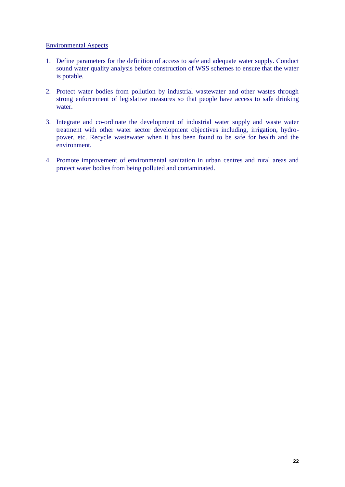## Environmental Aspects

- 1. Define parameters for the definition of access to safe and adequate water supply. Conduct sound water quality analysis before construction of WSS schemes to ensure that the water is potable.
- 2. Protect water bodies from pollution by industrial wastewater and other wastes through strong enforcement of legislative measures so that people have access to safe drinking water.
- 3. Integrate and co-ordinate the development of industrial water supply and waste water treatment with other water sector development objectives including, irrigation, hydropower, etc. Recycle wastewater when it has been found to be safe for health and the environment.
- 4. Promote improvement of environmental sanitation in urban centres and rural areas and protect water bodies from being polluted and contaminated.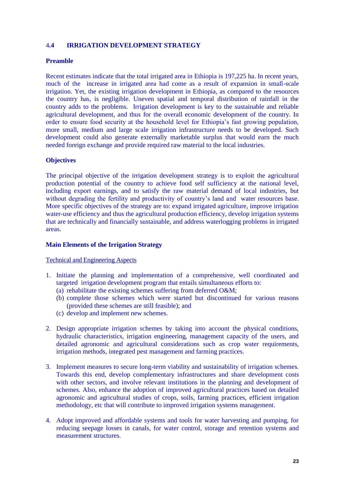# 4**.4 IRRIGATION DEVELOPMENT STRATEGY**

# **Preamble**

Recent estimates indicate that the total irrigated area in Ethiopia is 197,225 ha. In recent years, much of the increase in irrigated area had come as a result of expansion in small-scale irrigation. Yet, the existing irrigation development in Ethiopia, as compared to the resources the country has, is negligible. Uneven spatial and temporal distribution of rainfall in the country adds to the problems. Irrigation development is key to the sustainable and reliable agricultural development, and thus for the overall economic development of the country. In order to ensure food security at the household level for Ethiopia's fast growing population, more small, medium and large scale irrigation infrastructure needs to be developed. Such development could also generate externally marketable surplus that would earn the much needed foreign exchange and provide required raw material to the local industries.

#### **Objectives**

The principal objective of the irrigation development strategy is to exploit the agricultural production potential of the country to achieve food self sufficiency at the national level, including export earnings, and to satisfy the raw material demand of local industries, but without degrading the fertility and productivity of country's land and water resources base. More specific objectives of the strategy are to: expand irrigated agriculture, improve irrigation water-use efficiency and thus the agricultural production efficiency, develop irrigation systems that are technically and financially sustainable, and address waterlogging problems in irrigated areas.

# **Main Elements of the Irrigation Strategy**

#### Technical and Engineering Aspects

- 1. Initiate the planning and implementation of a comprehensive, well coordinated and targeted irrigation development program that entails simultaneous efforts to:
	- (a) rehabilitate the existing schemes suffering from deferred O&M;
	- (b) complete those schemes which were started but discontinued for various reasons (provided these schemes are still feasible); and
	- (c) develop and implement new schemes.
- 2. Design appropriate irrigation schemes by taking into account the physical conditions, hydraulic characteristics, irrigation engineering, management capacity of the users, and detailed agronomic and agricultural considerations such as crop water requirements, irrigation methods, integrated pest management and farming practices.
- 3. Implement measures to secure long-term viability and sustainability of irrigation schemes. Towards this end, develop complementary infrastructures and share development costs with other sectors, and involve relevant institutions in the planning and development of schemes. Also, enhance the adoption of improved agricultural practices based on detailed agronomic and agricultural studies of crops, soils, farming practices, efficient irrigation methodology, etc that will contribute to improved irrigation systems management.
- 4. Adopt improved and affordable systems and tools for water harvesting and pumping, for reducing seepage losses in canals, for water control, storage and retention systems and measurement structures.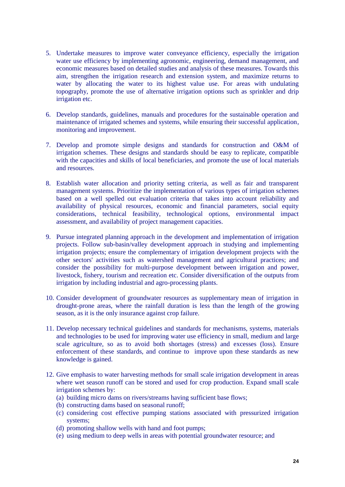- 5. Undertake measures to improve water conveyance efficiency, especially the irrigation water use efficiency by implementing agronomic, engineering, demand management, and economic measures based on detailed studies and analysis of these measures. Towards this aim, strengthen the irrigation research and extension system, and maximize returns to water by allocating the water to its highest value use. For areas with undulating topography, promote the use of alternative irrigation options such as sprinkler and drip irrigation etc.
- 6. Develop standards, guidelines, manuals and procedures for the sustainable operation and maintenance of irrigated schemes and systems, while ensuring their successful application, monitoring and improvement.
- 7. Develop and promote simple designs and standards for construction and O&M of irrigation schemes. These designs and standards should be easy to replicate, compatible with the capacities and skills of local beneficiaries, and promote the use of local materials and resources.
- 8. Establish water allocation and priority setting criteria, as well as fair and transparent management systems. Prioritize the implementation of various types of irrigation schemes based on a well spelled out evaluation criteria that takes into account reliability and availability of physical resources, economic and financial parameters, social equity considerations, technical feasibility, technological options, environmental impact assessment, and availability of project management capacities.
- 9. Pursue integrated planning approach in the development and implementation of irrigation projects. Follow sub-basin/valley development approach in studying and implementing irrigation projects; ensure the complementary of irrigation development projects with the other sectors' activities such as watershed management and agricultural practices; and consider the possibility for multi-purpose development between irrigation and power, livestock, fishery, tourism and recreation etc. Consider diversification of the outputs from irrigation by including industrial and agro-processing plants.
- 10. Consider development of groundwater resources as supplementary mean of irrigation in drought-prone areas, where the rainfall duration is less than the length of the growing season, as it is the only insurance against crop failure.
- 11. Develop necessary technical guidelines and standards for mechanisms, systems, materials and technologies to be used for improving water use efficiency in small, medium and large scale agriculture, so as to avoid both shortages (stress) and excesses (loss). Ensure enforcement of these standards, and continue to improve upon these standards as new knowledge is gained.
- 12. Give emphasis to water harvesting methods for small scale irrigation development in areas where wet season runoff can be stored and used for crop production. Expand small scale irrigation schemes by:
	- (a) building micro dams on rivers/streams having sufficient base flows;
	- (b) constructing dams based on seasonal runoff;
	- (c) considering cost effective pumping stations associated with pressurized irrigation systems;
	- (d) promoting shallow wells with hand and foot pumps;
	- (e) using medium to deep wells in areas with potential groundwater resource; and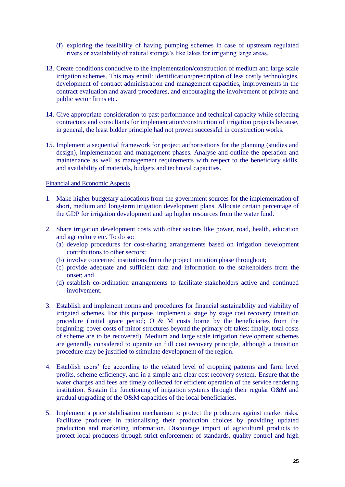- (f) exploring the feasibility of having pumping schemes in case of upstream regulated rivers or availability of natural storage's like lakes for irrigating large areas.
- 13. Create conditions conducive to the implementation/construction of medium and large scale irrigation schemes. This may entail: identification/prescription of less costly technologies, development of contract administration and management capacities, improvements in the contract evaluation and award procedures, and encouraging the involvement of private and public sector firms etc.
- 14. Give appropriate consideration to past performance and technical capacity while selecting contractors and consultants for implementation/construction of irrigation projects because, in general, the least bidder principle had not proven successful in construction works.
- 15. Implement a sequential framework for project authorisations for the planning (studies and design), implementation and management phases. Analyse and outline the operation and maintenance as well as management requirements with respect to the beneficiary skills, and availability of materials, budgets and technical capacities.

#### Financial and Economic Aspects

- 1. Make higher budgetary allocations from the government sources for the implementation of short, medium and long-term irrigation development plans. Allocate certain percentage of the GDP for irrigation development and tap higher resources from the water fund.
- 2. Share irrigation development costs with other sectors like power, road, health, education and agriculture etc. To do so:
	- (a) develop procedures for cost-sharing arrangements based on irrigation development contributions to other sectors;
	- (b) involve concerned institutions from the project initiation phase throughout;
	- (c) provide adequate and sufficient data and information to the stakeholders from the onset; and
	- (d) establish co-ordination arrangements to facilitate stakeholders active and continued involvement.
- 3. Establish and implement norms and procedures for financial sustainability and viability of irrigated schemes. For this purpose, implement a stage by stage cost recovery transition procedure (initial grace period;  $O \& M$  costs borne by the beneficiaries from the beginning; cover costs of minor structures beyond the primary off takes; finally, total costs of scheme are to be recovered). Medium and large scale irrigation development schemes are generally considered to operate on full cost recovery principle, although a transition procedure may be justified to stimulate development of the region.
- 4. Establish users' fee according to the related level of cropping patterns and farm level profits, scheme efficiency, and in a simple and clear cost recovery system. Ensure that the water charges and fees are timely collected for efficient operation of the service rendering institution. Sustain the functioning of irrigation systems through their regular O&M and gradual upgrading of the O&M capacities of the local beneficiaries.
- 5. Implement a price stabilisation mechanism to protect the producers against market risks. Facilitate producers in rationalising their production choices by providing updated production and marketing information. Discourage import of agricultural products to protect local producers through strict enforcement of standards, quality control and high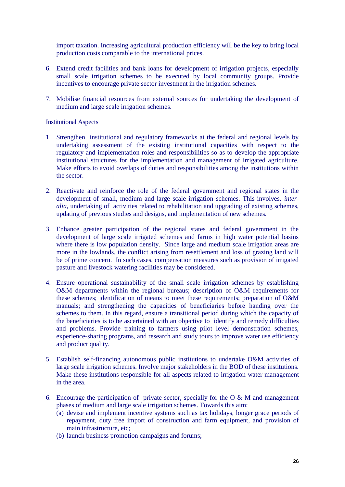import taxation. Increasing agricultural production efficiency will be the key to bring local production costs comparable to the international prices.

- 6. Extend credit facilities and bank loans for development of irrigation projects, especially small scale irrigation schemes to be executed by local community groups. Provide incentives to encourage private sector investment in the irrigation schemes.
- 7. Mobilise financial resources from external sources for undertaking the development of medium and large scale irrigation schemes.

#### Institutional Aspects

- 1. Strengthen institutional and regulatory frameworks at the federal and regional levels by undertaking assessment of the existing institutional capacities with respect to the regulatory and implementation roles and responsibilities so as to develop the appropriate institutional structures for the implementation and management of irrigated agriculture. Make efforts to avoid overlaps of duties and responsibilities among the institutions within the sector.
- 2. Reactivate and reinforce the role of the federal government and regional states in the development of small, medium and large scale irrigation schemes. This involves, *interalia*, undertaking of activities related to rehabilitation and upgrading of existing schemes, updating of previous studies and designs, and implementation of new schemes.
- 3. Enhance greater participation of the regional states and federal government in the development of large scale irrigated schemes and farms in high water potential basins where there is low population density. Since large and medium scale irrigation areas are more in the lowlands, the conflict arising from resettlement and loss of grazing land will be of prime concern. In such cases, compensation measures such as provision of irrigated pasture and livestock watering facilities may be considered.
- 4. Ensure operational sustainability of the small scale irrigation schemes by establishing O&M departments within the regional bureaus; description of O&M requirements for these schemes; identification of means to meet these requirements; preparation of O&M manuals; and strengthening the capacities of beneficiaries before handing over the schemes to them. In this regard, ensure a transitional period during which the capacity of the beneficiaries is to be ascertained with an objective to identify and remedy difficulties and problems. Provide training to farmers using pilot level demonstration schemes, experience-sharing programs, and research and study tours to improve water use efficiency and product quality.
- 5. Establish self-financing autonomous public institutions to undertake O&M activities of large scale irrigation schemes. Involve major stakeholders in the BOD of these institutions. Make these institutions responsible for all aspects related to irrigation water management in the area.
- 6. Encourage the participation of private sector, specially for the  $\overline{O} \& M$  and management phases of medium and large scale irrigation schemes. Towards this aim:
	- (a) devise and implement incentive systems such as tax holidays, longer grace periods of repayment, duty free import of construction and farm equipment, and provision of main infrastructure, etc;
	- (b) launch business promotion campaigns and forums;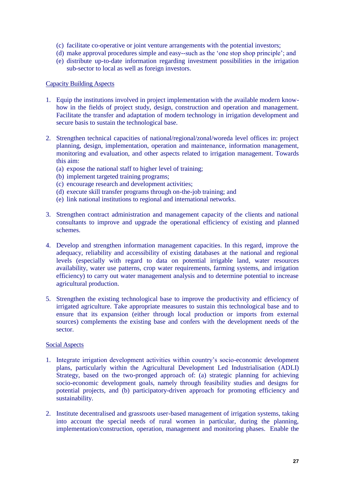- (c) facilitate co-operative or joint venture arrangements with the potential investors;
- (d) make approval procedures simple and easy--such as the 'one stop shop principle'; and
- (e) distribute up-to-date information regarding investment possibilities in the irrigation sub-sector to local as well as foreign investors.

#### Capacity Building Aspects

- 1. Equip the institutions involved in project implementation with the available modern knowhow in the fields of project study, design, construction and operation and management. Facilitate the transfer and adaptation of modern technology in irrigation development and secure basis to sustain the technological base.
- 2. Strengthen technical capacities of national/regional/zonal/woreda level offices in: project planning, design, implementation, operation and maintenance, information management, monitoring and evaluation, and other aspects related to irrigation management. Towards this aim:
	- (a) expose the national staff to higher level of training;
	- (b) implement targeted training programs;
	- (c) encourage research and development activities;
	- (d) execute skill transfer programs through on-the-job training; and
	- (e) link national institutions to regional and international networks.
- 3. Strengthen contract administration and management capacity of the clients and national consultants to improve and upgrade the operational efficiency of existing and planned schemes.
- 4. Develop and strengthen information management capacities. In this regard, improve the adequacy, reliability and accessibility of existing databases at the national and regional levels (especially with regard to data on potential irrigable land, water resources availability, water use patterns, crop water requirements, farming systems, and irrigation efficiency) to carry out water management analysis and to determine potential to increase agricultural production.
- 5. Strengthen the existing technological base to improve the productivity and efficiency of irrigated agriculture. Take appropriate measures to sustain this technological base and to ensure that its expansion (either through local production or imports from external sources) complements the existing base and confers with the development needs of the sector.

#### Social Aspects

- 1. Integrate irrigation development activities within country's socio-economic development plans, particularly within the Agricultural Development Led Industrialisation (ADLI) Strategy, based on the two-pronged approach of: (a) strategic planning for achieving socio-economic development goals, namely through feasibility studies and designs for potential projects, and (b) participatory-driven approach for promoting efficiency and sustainability.
- 2. Institute decentralised and grassroots user-based management of irrigation systems, taking into account the special needs of rural women in particular, during the planning, implementation/construction, operation, management and monitoring phases. Enable the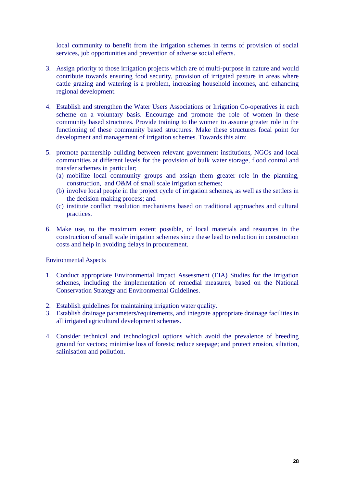local community to benefit from the irrigation schemes in terms of provision of social services, job opportunities and prevention of adverse social effects.

- 3. Assign priority to those irrigation projects which are of multi-purpose in nature and would contribute towards ensuring food security, provision of irrigated pasture in areas where cattle grazing and watering is a problem, increasing household incomes, and enhancing regional development.
- 4. Establish and strengthen the Water Users Associations or Irrigation Co-operatives in each scheme on a voluntary basis. Encourage and promote the role of women in these community based structures. Provide training to the women to assume greater role in the functioning of these community based structures. Make these structures focal point for development and management of irrigation schemes. Towards this aim:
- 5. promote partnership building between relevant government institutions, NGOs and local communities at different levels for the provision of bulk water storage, flood control and transfer schemes in particular;
	- (a) mobilize local community groups and assign them greater role in the planning, construction, and O&M of small scale irrigation schemes;
	- (b) involve local people in the project cycle of irrigation schemes, as well as the settlers in the decision-making process; and
	- (c) institute conflict resolution mechanisms based on traditional approaches and cultural practices.
- 6. Make use, to the maximum extent possible, of local materials and resources in the construction of small scale irrigation schemes since these lead to reduction in construction costs and help in avoiding delays in procurement.

#### Environmental Aspects

- 1. Conduct appropriate Environmental Impact Assessment (EIA) Studies for the irrigation schemes, including the implementation of remedial measures, based on the National Conservation Strategy and Environmental Guidelines.
- 2. Establish guidelines for maintaining irrigation water quality.
- 3. Establish drainage parameters/requirements, and integrate appropriate drainage facilities in all irrigated agricultural development schemes.
- 4. Consider technical and technological options which avoid the prevalence of breeding ground for vectors; minimise loss of forests; reduce seepage; and protect erosion, siltation, salinisation and pollution.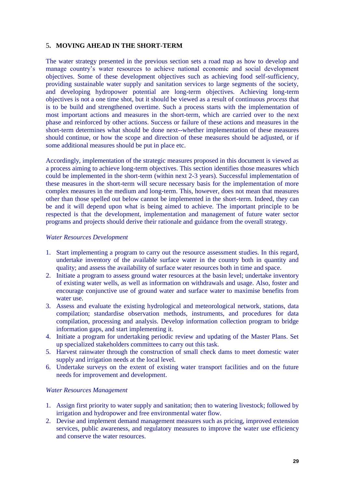# 5**. MOVING AHEAD IN THE SHORT-TERM**

The water strategy presented in the previous section sets a road map as how to develop and manage country's water resources to achieve national economic and social development objectives. Some of these development objectives such as achieving food self-sufficiency, providing sustainable water supply and sanitation services to large segments of the society, and developing hydropower potential are long-term objectives. Achieving long-term objectives is not a one time shot, but it should be viewed as a result of continuous *process* that is to be build and strengthened overtime. Such a process starts with the implementation of most important actions and measures in the short-term, which are carried over to the next phase and reinforced by other actions. Success or failure of these actions and measures in the short-term determines what should be done next--whether implementation of these measures should continue, or how the scope and direction of these measures should be adjusted, or if some additional measures should be put in place etc.

Accordingly, implementation of the strategic measures proposed in this document is viewed as a process aiming to achieve long-term objectives. This section identifies those measures which could be implemented in the short-term (within next 2-3 years). Successful implementation of these measures in the short-term will secure necessary basis for the implementation of more complex measures in the medium and long-term. This, however, does not mean that measures other than those spelled out below cannot be implemented in the short-term. Indeed, they can be and it will depend upon what is being aimed to achieve. The important principle to be respected is that the development, implementation and management of future water sector programs and projects should derive their rationale and guidance from the overall strategy.

#### *Water Resources Development*

- 1. Start implementing a program to carry out the resource assessment studies. In this regard, undertake inventory of the available surface water in the country both in quantity and quality; and assess the availability of surface water resources both in time and space.
- 2. Initiate a program to assess ground water resources at the basin level; undertake inventory of existing water wells, as well as information on withdrawals and usage. Also, foster and encourage conjunctive use of ground water and surface water to maximise benefits from water use.
- 3. Assess and evaluate the existing hydrological and meteorological network, stations, data compilation; standardise observation methods, instruments, and procedures for data compilation, processing and analysis. Develop information collection program to bridge information gaps, and start implementing it.
- 4. Initiate a program for undertaking periodic review and updating of the Master Plans. Set up specialized stakeholders committees to carry out this task.
- 5. Harvest rainwater through the construction of small check dams to meet domestic water supply and irrigation needs at the local level.
- 6. Undertake surveys on the extent of existing water transport facilities and on the future needs for improvement and development.

#### *Water Resources Management*

- 1. Assign first priority to water supply and sanitation; then to watering livestock; followed by irrigation and hydropower and free environmental water flow.
- 2. Devise and implement demand management measures such as pricing, improved extension services, public awareness, and regulatory measures to improve the water use efficiency and conserve the water resources.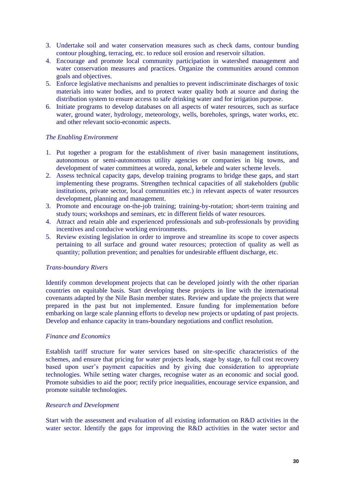- 3. Undertake soil and water conservation measures such as check dams, contour bunding contour ploughing, terracing, etc. to reduce soil erosion and reservoir siltation.
- 4. Encourage and promote local community participation in watershed management and water conservation measures and practices. Organize the communities around common goals and objectives.
- 5. Enforce legislative mechanisms and penalties to prevent indiscriminate discharges of toxic materials into water bodies, and to protect water quality both at source and during the distribution system to ensure access to safe drinking water and for irrigation purpose.
- 6. Initiate programs to develop databases on all aspects of water resources, such as surface water, ground water, hydrology, meteorology, wells, boreholes, springs, water works, etc. and other relevant socio-economic aspects.

# *The Enabling Environment*

- 1. Put together a program for the establishment of river basin management institutions, autonomous or semi-autonomous utility agencies or companies in big towns, and development of water committees at woreda, zonal, kebele and water scheme levels.
- 2. Assess technical capacity gaps, develop training programs to bridge these gaps, and start implementing these programs. Strengthen technical capacities of all stakeholders (public institutions, private sector, local communities etc.) in relevant aspects of water resources development, planning and management.
- 3. Promote and encourage on-the-job training; training-by-rotation; short-term training and study tours; workshops and seminars, etc in different fields of water resources.
- 4. Attract and retain able and experienced professionals and sub-professionals by providing incentives and conducive working environments.
- 5. Review existing legislation in order to improve and streamline its scope to cover aspects pertaining to all surface and ground water resources; protection of quality as well as quantity; pollution prevention; and penalties for undesirable effluent discharge, etc.

#### *Trans-boundary Rivers*

Identify common development projects that can be developed jointly with the other riparian countries on equitable basis. Start developing these projects in line with the international covenants adapted by the Nile Basin member states. Review and update the projects that were prepared in the past but not implemented. Ensure funding for implementation before embarking on large scale planning efforts to develop new projects or updating of past projects. Develop and enhance capacity in trans-boundary negotiations and conflict resolution.

#### *Finance and Economics*

Establish tariff structure for water services based on site-specific characteristics of the schemes, and ensure that pricing for water projects leads, stage by stage, to full cost recovery based upon user's payment capacities and by giving due consideration to appropriate technologies. While setting water charges, recognise water as an economic and social good. Promote subsidies to aid the poor; rectify price inequalities, encourage service expansion, and promote suitable technologies.

#### *Research and Development*

Start with the assessment and evaluation of all existing information on R&D activities in the water sector. Identify the gaps for improving the R&D activities in the water sector and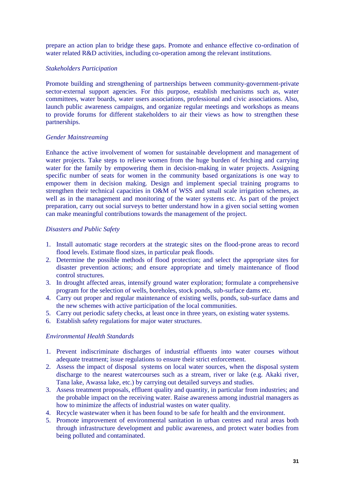prepare an action plan to bridge these gaps. Promote and enhance effective co-ordination of water related R&D activities, including co-operation among the relevant institutions.

# *Stakeholders Participation*

Promote building and strengthening of partnerships between community-government-private sector-external support agencies. For this purpose, establish mechanisms such as, water committees, water boards, water users associations, professional and civic associations. Also, launch public awareness campaigns, and organize regular meetings and workshops as means to provide forums for different stakeholders to air their views as how to strengthen these partnerships.

# *Gender Mainstreaming*

Enhance the active involvement of women for sustainable development and management of water projects. Take steps to relieve women from the huge burden of fetching and carrying water for the family by empowering them in decision-making in water projects. Assigning specific number of seats for women in the community based organizations is one way to empower them in decision making. Design and implement special training programs to strengthen their technical capacities in O&M of WSS and small scale irrigation schemes, as well as in the management and monitoring of the water systems etc. As part of the project preparation, carry out social surveys to better understand how in a given social setting women can make meaningful contributions towards the management of the project.

#### *Disasters and Public Safety*

- 1. Install automatic stage recorders at the strategic sites on the flood-prone areas to record flood levels. Estimate flood sizes, in particular peak floods.
- 2. Determine the possible methods of flood protection; and select the appropriate sites for disaster prevention actions; and ensure appropriate and timely maintenance of flood control structures.
- 3. In drought affected areas, intensify ground water exploration; formulate a comprehensive program for the selection of wells, boreholes, stock ponds, sub-surface dams etc.
- 4. Carry out proper and regular maintenance of existing wells, ponds, sub-surface dams and the new schemes with active participation of the local communities.
- 5. Carry out periodic safety checks, at least once in three years, on existing water systems.
- 6. Establish safety regulations for major water structures.

# *Environmental Health Standards*

- 1. Prevent indiscriminate discharges of industrial effluents into water courses without adequate treatment; issue regulations to ensure their strict enforcement.
- 2. Assess the impact of disposal systems on local water sources, when the disposal system discharge to the nearest watercourses such as a stream, river or lake (e.g. Akaki river, Tana lake, Awassa lake, etc.) by carrying out detailed surveys and studies.
- 3. Assess treatment proposals, effluent quality and quantity, in particular from industries; and the probable impact on the receiving water. Raise awareness among industrial managers as how to minimize the affects of industrial wastes on water quality.
- 4. Recycle wastewater when it has been found to be safe for health and the environment.
- 5. Promote improvement of environmental sanitation in urban centres and rural areas both through infrastructure development and public awareness, and protect water bodies from being polluted and contaminated.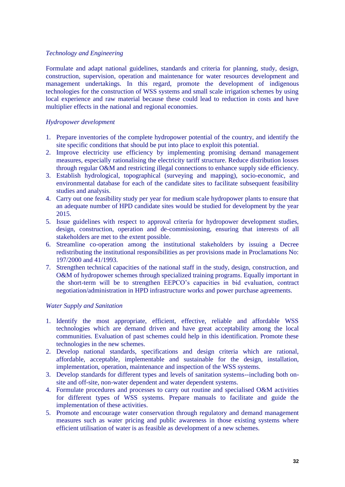# *Technology and Engineering*

Formulate and adapt national guidelines, standards and criteria for planning, study, design, construction, supervision, operation and maintenance for water resources development and management undertakings. In this regard, promote the development of indigenous technologies for the construction of WSS systems and small scale irrigation schemes by using local experience and raw material because these could lead to reduction in costs and have multiplier effects in the national and regional economies.

# *Hydropower development*

- 1. Prepare inventories of the complete hydropower potential of the country, and identify the site specific conditions that should be put into place to exploit this potential.
- 2. Improve electricity use efficiency by implementing promising demand management measures, especially rationalising the electricity tariff structure. Reduce distribution losses through regular O&M and restricting illegal connections to enhance supply side efficiency.
- 3. Establish hydrological, topographical (surveying and mapping), socio-economic, and environmental database for each of the candidate sites to facilitate subsequent feasibility studies and analysis.
- 4. Carry out one feasibility study per year for medium scale hydropower plants to ensure that an adequate number of HPD candidate sites would be studied for development by the year 2015.
- 5. Issue guidelines with respect to approval criteria for hydropower development studies, design, construction, operation and de-commissioning, ensuring that interests of all stakeholders are met to the extent possible.
- 6. Streamline co-operation among the institutional stakeholders by issuing a Decree redistributing the institutional responsibilities as per provisions made in Proclamations No: 197/2000 and 41/1993.
- 7. Strengthen technical capacities of the national staff in the study, design, construction, and O&M of hydropower schemes through specialized training programs. Equally important in the short-term will be to strengthen EEPCO's capacities in bid evaluation, contract negotiation/administration in HPD infrastructure works and power purchase agreements.

#### *Water Supply and Sanitation*

- 1. Identify the most appropriate, efficient, effective, reliable and affordable WSS technologies which are demand driven and have great acceptability among the local communities. Evaluation of past schemes could help in this identification. Promote these technologies in the new schemes.
- 2. Develop national standards, specifications and design criteria which are rational, affordable, acceptable, implementable and sustainable for the design, installation, implementation, operation, maintenance and inspection of the WSS systems.
- 3. Develop standards for different types and levels of sanitation systems--including both onsite and off-site, non-water dependent and water dependent systems.
- 4. Formulate procedures and processes to carry out routine and specialised O&M activities for different types of WSS systems. Prepare manuals to facilitate and guide the implementation of these activities.
- 5. Promote and encourage water conservation through regulatory and demand management measures such as water pricing and public awareness in those existing systems where efficient utilisation of water is as feasible as development of a new schemes.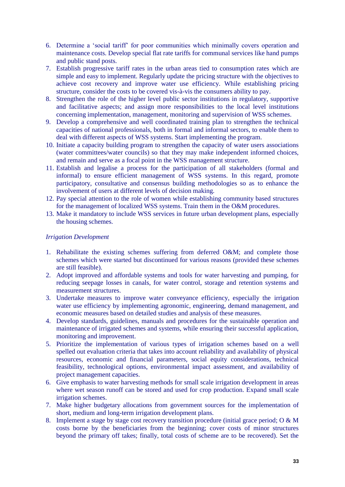- 6. Determine a 'social tariff' for poor communities which minimally covers operation and maintenance costs. Develop special flat rate tariffs for communal services like hand pumps and public stand posts.
- 7. Establish progressive tariff rates in the urban areas tied to consumption rates which are simple and easy to implement. Regularly update the pricing structure with the objectives to achieve cost recovery and improve water use efficiency. While establishing pricing structure, consider the costs to be covered vis-à-vis the consumers ability to pay.
- 8. Strengthen the role of the higher level public sector institutions in regulatory, supportive and facilitative aspects; and assign more responsibilities to the local level institutions concerning implementation, management, monitoring and supervision of WSS schemes.
- 9. Develop a comprehensive and well coordinated training plan to strengthen the technical capacities of national professionals, both in formal and informal sectors, to enable them to deal with different aspects of WSS systems. Start implementing the program.
- 10. Initiate a capacity building program to strengthen the capacity of water users associations (water committees/water councils) so that they may make independent informed choices, and remain and serve as a focal point in the WSS management structure.
- 11. Establish and legalise a process for the participation of all stakeholders (formal and informal) to ensure efficient management of WSS systems. In this regard, promote participatory, consultative and consensus building methodologies so as to enhance the involvement of users at different levels of decision making.
- 12. Pay special attention to the role of women while establishing community based structures for the management of localized WSS systems. Train them in the O&M procedures.
- 13. Make it mandatory to include WSS services in future urban development plans, especially the housing schemes.

# *Irrigation Development*

- 1. Rehabilitate the existing schemes suffering from deferred O&M; and complete those schemes which were started but discontinued for various reasons (provided these schemes are still feasible).
- 2. Adopt improved and affordable systems and tools for water harvesting and pumping, for reducing seepage losses in canals, for water control, storage and retention systems and measurement structures.
- 3. Undertake measures to improve water conveyance efficiency, especially the irrigation water use efficiency by implementing agronomic, engineering, demand management, and economic measures based on detailed studies and analysis of these measures.
- 4. Develop standards, guidelines, manuals and procedures for the sustainable operation and maintenance of irrigated schemes and systems, while ensuring their successful application, monitoring and improvement.
- 5. Prioritize the implementation of various types of irrigation schemes based on a well spelled out evaluation criteria that takes into account reliability and availability of physical resources, economic and financial parameters, social equity considerations, technical feasibility, technological options, environmental impact assessment, and availability of project management capacities.
- 6. Give emphasis to water harvesting methods for small scale irrigation development in areas where wet season runoff can be stored and used for crop production. Expand small scale irrigation schemes.
- 7. Make higher budgetary allocations from government sources for the implementation of short, medium and long-term irrigation development plans.
- 8. Implement a stage by stage cost recovery transition procedure (initial grace period; O & M costs borne by the beneficiaries from the beginning; cover costs of minor structures beyond the primary off takes; finally, total costs of scheme are to be recovered). Set the